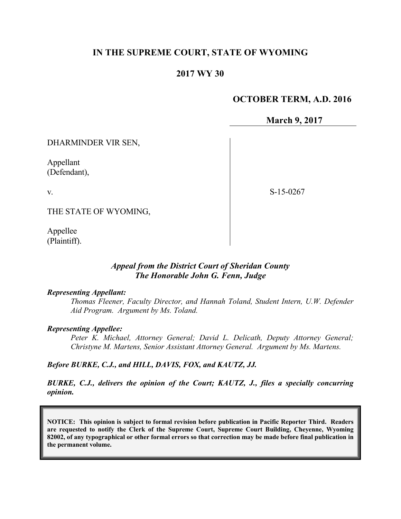## **IN THE SUPREME COURT, STATE OF WYOMING**

### **2017 WY 30**

#### **OCTOBER TERM, A.D. 2016**

**March 9, 2017**

DHARMINDER VIR SEN,

Appellant (Defendant),

v.

S-15-0267

THE STATE OF WYOMING,

Appellee (Plaintiff).

#### *Appeal from the District Court of Sheridan County The Honorable John G. Fenn, Judge*

#### *Representing Appellant:*

*Thomas Fleener, Faculty Director, and Hannah Toland, Student Intern, U.W. Defender Aid Program. Argument by Ms. Toland.* 

#### *Representing Appellee:*

*Peter K. Michael, Attorney General; David L. Delicath, Deputy Attorney General; Christyne M. Martens, Senior Assistant Attorney General. Argument by Ms. Martens.*

#### *Before BURKE, C.J., and HILL, DAVIS, FOX, and KAUTZ, JJ.*

*BURKE, C.J., delivers the opinion of the Court; KAUTZ, J., files a specially concurring opinion.*

**NOTICE: This opinion is subject to formal revision before publication in Pacific Reporter Third. Readers are requested to notify the Clerk of the Supreme Court, Supreme Court Building, Cheyenne, Wyoming 82002, of any typographical or other formal errors so that correction may be made before final publication in the permanent volume.**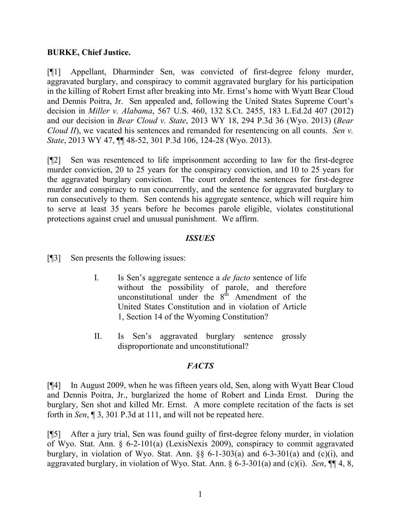### **BURKE, Chief Justice.**

[¶1] Appellant, Dharminder Sen, was convicted of first-degree felony murder, aggravated burglary, and conspiracy to commit aggravated burglary for his participation in the killing of Robert Ernst after breaking into Mr. Ernst's home with Wyatt Bear Cloud and Dennis Poitra, Jr. Sen appealed and, following the United States Supreme Court's decision in *Miller v. Alabama*, 567 U.S. 460, 132 S.Ct. 2455, 183 L.Ed.2d 407 (2012) and our decision in *Bear Cloud v. State*, 2013 WY 18, 294 P.3d 36 (Wyo. 2013) (*Bear Cloud II*), we vacated his sentences and remanded for resentencing on all counts. *Sen v. State*, 2013 WY 47, ¶¶ 48-52, 301 P.3d 106, 124-28 (Wyo. 2013).

[¶2] Sen was resentenced to life imprisonment according to law for the first-degree murder conviction, 20 to 25 years for the conspiracy conviction, and 10 to 25 years for the aggravated burglary conviction. The court ordered the sentences for first-degree murder and conspiracy to run concurrently, and the sentence for aggravated burglary to run consecutively to them. Sen contends his aggregate sentence, which will require him to serve at least 35 years before he becomes parole eligible, violates constitutional protections against cruel and unusual punishment. We affirm.

#### *ISSUES*

[¶3] Sen presents the following issues:

- I. Is Sen's aggregate sentence a *de facto* sentence of life without the possibility of parole, and therefore unconstitutional under the  $8<sup>th</sup>$  Amendment of the United States Constitution and in violation of Article 1, Section 14 of the Wyoming Constitution?
- II. Is Sen's aggravated burglary sentence grossly disproportionate and unconstitutional?

## *FACTS*

[¶4] In August 2009, when he was fifteen years old, Sen, along with Wyatt Bear Cloud and Dennis Poitra, Jr., burglarized the home of Robert and Linda Ernst. During the burglary, Sen shot and killed Mr. Ernst. A more complete recitation of the facts is set forth in *Sen*, ¶ 3, 301 P.3d at 111, and will not be repeated here.

[¶5] After a jury trial, Sen was found guilty of first-degree felony murder, in violation of Wyo. Stat. Ann. § 6-2-101(a) (LexisNexis 2009), conspiracy to commit aggravated burglary, in violation of Wyo. Stat. Ann.  $\S$ § 6-1-303(a) and 6-3-301(a) and (c)(i), and aggravated burglary, in violation of Wyo. Stat. Ann. § 6-3-301(a) and (c)(i). *Sen*, ¶¶ 4, 8,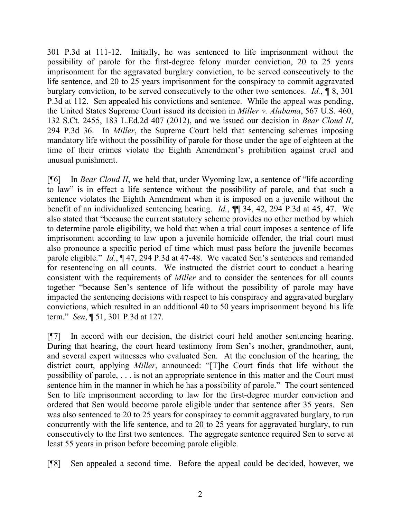301 P.3d at 111-12. Initially, he was sentenced to life imprisonment without the possibility of parole for the first-degree felony murder conviction, 20 to 25 years imprisonment for the aggravated burglary conviction, to be served consecutively to the life sentence, and 20 to 25 years imprisonment for the conspiracy to commit aggravated burglary conviction, to be served consecutively to the other two sentences. *Id.*, ¶ 8, 301 P.3d at 112. Sen appealed his convictions and sentence. While the appeal was pending, the United States Supreme Court issued its decision in *Miller v. Alabama*, 567 U.S. 460, 132 S.Ct. 2455, 183 L.Ed.2d 407 (2012), and we issued our decision in *Bear Cloud II*, 294 P.3d 36. In *Miller*, the Supreme Court held that sentencing schemes imposing mandatory life without the possibility of parole for those under the age of eighteen at the time of their crimes violate the Eighth Amendment's prohibition against cruel and unusual punishment.

[¶6] In *Bear Cloud II*, we held that, under Wyoming law, a sentence of "life according to law" is in effect a life sentence without the possibility of parole, and that such a sentence violates the Eighth Amendment when it is imposed on a juvenile without the benefit of an individualized sentencing hearing. *Id.*, ¶¶ 34, 42, 294 P.3d at 45, 47. We also stated that "because the current statutory scheme provides no other method by which to determine parole eligibility, we hold that when a trial court imposes a sentence of life imprisonment according to law upon a juvenile homicide offender, the trial court must also pronounce a specific period of time which must pass before the juvenile becomes parole eligible." *Id.*, ¶ 47, 294 P.3d at 47-48. We vacated Sen's sentences and remanded for resentencing on all counts. We instructed the district court to conduct a hearing consistent with the requirements of *Miller* and to consider the sentences for all counts together "because Sen's sentence of life without the possibility of parole may have impacted the sentencing decisions with respect to his conspiracy and aggravated burglary convictions, which resulted in an additional 40 to 50 years imprisonment beyond his life term." *Sen*, ¶ 51, 301 P.3d at 127.

[¶7] In accord with our decision, the district court held another sentencing hearing. During that hearing, the court heard testimony from Sen's mother, grandmother, aunt, and several expert witnesses who evaluated Sen. At the conclusion of the hearing, the district court, applying *Miller*, announced: "[T]he Court finds that life without the possibility of parole, . . . is not an appropriate sentence in this matter and the Court must sentence him in the manner in which he has a possibility of parole." The court sentenced Sen to life imprisonment according to law for the first-degree murder conviction and ordered that Sen would become parole eligible under that sentence after 35 years. Sen was also sentenced to 20 to 25 years for conspiracy to commit aggravated burglary, to run concurrently with the life sentence, and to 20 to 25 years for aggravated burglary, to run consecutively to the first two sentences. The aggregate sentence required Sen to serve at least 55 years in prison before becoming parole eligible.

[¶8] Sen appealed a second time. Before the appeal could be decided, however, we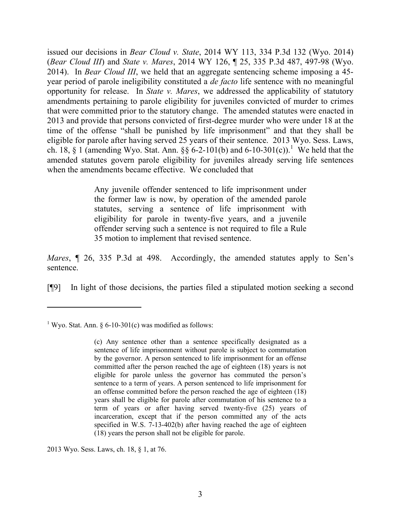issued our decisions in *Bear Cloud v. State*, 2014 WY 113, 334 P.3d 132 (Wyo. 2014) (*Bear Cloud III*) and *State v. Mares*, 2014 WY 126, ¶ 25, 335 P.3d 487, 497-98 (Wyo. 2014). In *Bear Cloud III*, we held that an aggregate sentencing scheme imposing a 45 year period of parole ineligibility constituted a *de facto* life sentence with no meaningful opportunity for release. In *State v. Mares*, we addressed the applicability of statutory amendments pertaining to parole eligibility for juveniles convicted of murder to crimes that were committed prior to the statutory change. The amended statutes were enacted in 2013 and provide that persons convicted of first-degree murder who were under 18 at the time of the offense "shall be punished by life imprisonment" and that they shall be eligible for parole after having served 25 years of their sentence. 2013 Wyo. Sess. Laws, ch. 18, § 1 (amending Wyo. Stat. Ann. §§ 6-2-101(b) and 6-10-301(c)).<sup>1</sup> We held that the amended statutes govern parole eligibility for juveniles already serving life sentences when the amendments became effective. We concluded that

> Any juvenile offender sentenced to life imprisonment under the former law is now, by operation of the amended parole statutes, serving a sentence of life imprisonment with eligibility for parole in twenty-five years, and a juvenile offender serving such a sentence is not required to file a Rule 35 motion to implement that revised sentence.

*Mares*, ¶ 26, 335 P.3d at 498. Accordingly, the amended statutes apply to Sen's sentence.

[¶9] In light of those decisions, the parties filed a stipulated motion seeking a second

 $\overline{a}$ 

2013 Wyo. Sess. Laws, ch. 18, § 1, at 76.

<sup>&</sup>lt;sup>1</sup> Wyo. Stat. Ann. § 6-10-301(c) was modified as follows:

<sup>(</sup>c) Any sentence other than a sentence specifically designated as a sentence of life imprisonment without parole is subject to commutation by the governor. A person sentenced to life imprisonment for an offense committed after the person reached the age of eighteen (18) years is not eligible for parole unless the governor has commuted the person's sentence to a term of years. A person sentenced to life imprisonment for an offense committed before the person reached the age of eighteen (18) years shall be eligible for parole after commutation of his sentence to a term of years or after having served twenty-five (25) years of incarceration, except that if the person committed any of the acts specified in W.S. 7-13-402(b) after having reached the age of eighteen (18) years the person shall not be eligible for parole.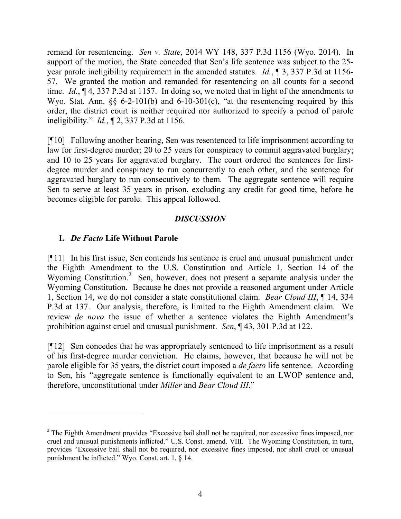remand for resentencing. *Sen v. State*, 2014 WY 148, 337 P.3d 1156 (Wyo. 2014). In support of the motion, the State conceded that Sen's life sentence was subject to the 25 year parole ineligibility requirement in the amended statutes. *Id.*, ¶ 3, 337 P.3d at 1156- 57. We granted the motion and remanded for resentencing on all counts for a second time. *Id.*, ¶ 4, 337 P.3d at 1157. In doing so, we noted that in light of the amendments to Wyo. Stat. Ann.  $\S$  6-2-101(b) and 6-10-301(c), "at the resentencing required by this order, the district court is neither required nor authorized to specify a period of parole ineligibility." *Id.*, ¶ 2, 337 P.3d at 1156.

[¶10] Following another hearing, Sen was resentenced to life imprisonment according to law for first-degree murder; 20 to 25 years for conspiracy to commit aggravated burglary; and 10 to 25 years for aggravated burglary. The court ordered the sentences for firstdegree murder and conspiracy to run concurrently to each other, and the sentence for aggravated burglary to run consecutively to them. The aggregate sentence will require Sen to serve at least 35 years in prison, excluding any credit for good time, before he becomes eligible for parole. This appeal followed.

# *DISCUSSION*

# **I.** *De Facto* **Life Without Parole**

 $\overline{a}$ 

[¶11] In his first issue, Sen contends his sentence is cruel and unusual punishment under the Eighth Amendment to the U.S. Constitution and Article 1, Section 14 of the Wyoming Constitution.<sup>2</sup> Sen, however, does not present a separate analysis under the Wyoming Constitution. Because he does not provide a reasoned argument under Article 1, Section 14, we do not consider a state constitutional claim. *Bear Cloud III*, ¶ 14, 334 P.3d at 137. Our analysis, therefore, is limited to the Eighth Amendment claim. We review *de novo* the issue of whether a sentence violates the Eighth Amendment's prohibition against cruel and unusual punishment. *Sen*, ¶ 43, 301 P.3d at 122.

[¶12] Sen concedes that he was appropriately sentenced to life imprisonment as a result of his first-degree murder conviction. He claims, however, that because he will not be parole eligible for 35 years, the district court imposed a *de facto* life sentence. According to Sen, his "aggregate sentence is functionally equivalent to an LWOP sentence and, therefore, unconstitutional under *Miller* and *Bear Cloud III*."

<sup>&</sup>lt;sup>2</sup> The Eighth Amendment provides "Excessive bail shall not be required, nor excessive fines imposed, nor cruel and unusual punishments inflicted." U.S. Const. amend. VIII. The Wyoming Constitution, in turn, provides "Excessive bail shall not be required, nor excessive fines imposed, nor shall cruel or unusual punishment be inflicted." Wyo. Const. art. 1, § 14.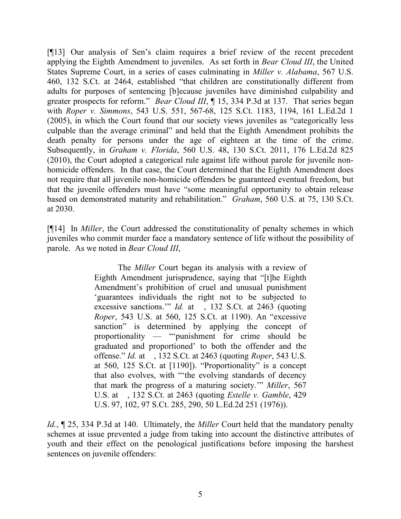[¶13] Our analysis of Sen's claim requires a brief review of the recent precedent applying the Eighth Amendment to juveniles. As set forth in *Bear Cloud III*, the United States Supreme Court, in a series of cases culminating in *Miller v. Alabama*, 567 U.S. 460, 132 S.Ct. at 2464, established "that children are constitutionally different from adults for purposes of sentencing [b]ecause juveniles have diminished culpability and greater prospects for reform." *Bear Cloud III*, ¶ 15, 334 P.3d at 137. That series began with *Roper v. Simmons*, 543 U.S. 551, 567-68, 125 S.Ct. 1183, 1194, 161 L.Ed.2d 1 (2005), in which the Court found that our society views juveniles as "categorically less culpable than the average criminal" and held that the Eighth Amendment prohibits the death penalty for persons under the age of eighteen at the time of the crime. Subsequently, in *Graham v. Florida*, 560 U.S. 48, 130 S.Ct. 2011, 176 L.Ed.2d 825 (2010), the Court adopted a categorical rule against life without parole for juvenile nonhomicide offenders. In that case, the Court determined that the Eighth Amendment does not require that all juvenile non-homicide offenders be guaranteed eventual freedom, but that the juvenile offenders must have "some meaningful opportunity to obtain release based on demonstrated maturity and rehabilitation." *Graham*, 560 U.S. at 75, 130 S.Ct. at 2030.

[¶14] In *Miller*, the Court addressed the constitutionality of penalty schemes in which juveniles who commit murder face a mandatory sentence of life without the possibility of parole. As we noted in *Bear Cloud III*,

> The *Miller* Court began its analysis with a review of Eighth Amendment jurisprudence, saying that "[t]he Eighth Amendment's prohibition of cruel and unusual punishment 'guarantees individuals the right not to be subjected to excessive sanctions."" *Id.* at , 132 S.Ct. at 2463 (quoting *Roper*, 543 U.S. at 560, 125 S.Ct. at 1190). An "excessive sanction" is determined by applying the concept of proportionality — "'punishment for crime should be graduated and proportioned' to both the offender and the offense." *Id.* at , 132 S.Ct. at 2463 (quoting *Roper*, 543 U.S. at 560, 125 S.Ct. at [1190]). "Proportionality" is a concept that also evolves, with "'the evolving standards of decency that mark the progress of a maturing society.'" *Miller*, 567 U.S. at , 132 S.Ct. at 2463 (quoting *Estelle v. Gamble*, 429 U.S. 97, 102, 97 S.Ct. 285, 290, 50 L.Ed.2d 251 (1976)).

*Id.*, ¶ 25, 334 P.3d at 140. Ultimately, the *Miller* Court held that the mandatory penalty schemes at issue prevented a judge from taking into account the distinctive attributes of youth and their effect on the penological justifications before imposing the harshest sentences on juvenile offenders: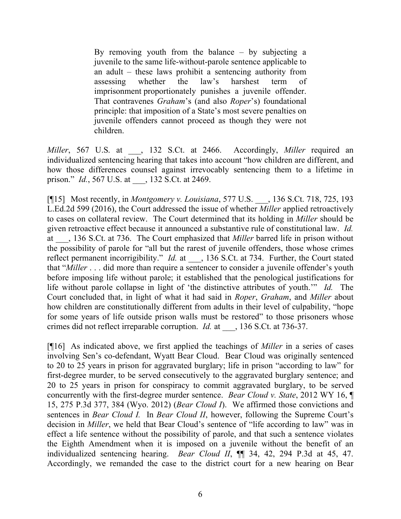By removing youth from the balance – by subjecting a juvenile to the same life-without-parole sentence applicable to an adult – these laws prohibit a sentencing authority from assessing whether the law's harshest term of imprisonment proportionately punishes a juvenile offender. That contravenes *Graham*'s (and also *Roper*'s) foundational principle: that imposition of a State's most severe penalties on juvenile offenders cannot proceed as though they were not children.

*Miller*, 567 U.S. at \_\_\_, 132 S.Ct. at 2466. Accordingly, *Miller* required an individualized sentencing hearing that takes into account "how children are different, and how those differences counsel against irrevocably sentencing them to a lifetime in prison." *Id.*, 567 U.S. at \_\_\_, 132 S.Ct. at 2469.

[¶15] Most recently, in *Montgomery v. Louisiana*, 577 U.S. \_\_\_, 136 S.Ct. 718, 725, 193 L.Ed.2d 599 (2016), the Court addressed the issue of whether *Miller* applied retroactively to cases on collateral review. The Court determined that its holding in *Miller* should be given retroactive effect because it announced a substantive rule of constitutional law. *Id.* at \_\_\_, 136 S.Ct. at 736. The Court emphasized that *Miller* barred life in prison without the possibility of parole for "all but the rarest of juvenile offenders, those whose crimes reflect permanent incorrigibility." *Id.* at  $\qquad$ , 136 S.Ct. at 734. Further, the Court stated that "*Miller* . . . did more than require a sentencer to consider a juvenile offender's youth before imposing life without parole; it established that the penological justifications for life without parole collapse in light of 'the distinctive attributes of youth.'" *Id.* The Court concluded that, in light of what it had said in *Roper*, *Graham*, and *Miller* about how children are constitutionally different from adults in their level of culpability, "hope for some years of life outside prison walls must be restored" to those prisoners whose crimes did not reflect irreparable corruption. *Id.* at \_\_\_, 136 S.Ct. at 736-37.

[¶16] As indicated above, we first applied the teachings of *Miller* in a series of cases involving Sen's co-defendant, Wyatt Bear Cloud. Bear Cloud was originally sentenced to 20 to 25 years in prison for aggravated burglary; life in prison "according to law" for first-degree murder, to be served consecutively to the aggravated burglary sentence; and 20 to 25 years in prison for conspiracy to commit aggravated burglary, to be served concurrently with the first-degree murder sentence. *Bear Cloud v. State*, 2012 WY 16, ¶ 15, 275 P.3d 377, 384 (Wyo. 2012) (*Bear Cloud I*). We affirmed those convictions and sentences in *Bear Cloud I.* In *Bear Cloud II*, however, following the Supreme Court's decision in *Miller*, we held that Bear Cloud's sentence of "life according to law" was in effect a life sentence without the possibility of parole, and that such a sentence violates the Eighth Amendment when it is imposed on a juvenile without the benefit of an individualized sentencing hearing. *Bear Cloud II*, ¶¶ 34, 42, 294 P.3d at 45, 47. Accordingly, we remanded the case to the district court for a new hearing on Bear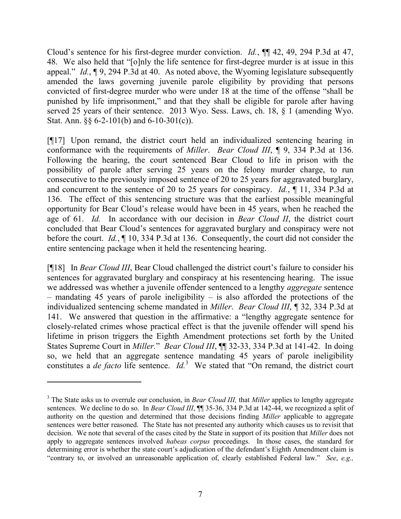Cloud's sentence for his first-degree murder conviction. *Id.*, ¶¶ 42, 49, 294 P.3d at 47, 48. We also held that "[o]nly the life sentence for first-degree murder is at issue in this appeal." *Id.*, ¶ 9, 294 P.3d at 40. As noted above, the Wyoming legislature subsequently amended the laws governing juvenile parole eligibility by providing that persons convicted of first-degree murder who were under 18 at the time of the offense "shall be punished by life imprisonment," and that they shall be eligible for parole after having served 25 years of their sentence. 2013 Wyo. Sess. Laws, ch. 18, § 1 (amending Wyo. Stat. Ann.  $\S$  6-2-101(b) and 6-10-301(c)).

[¶17] Upon remand, the district court held an individualized sentencing hearing in conformance with the requirements of *Miller*. *Bear Cloud III*, ¶ 9, 334 P.3d at 136. Following the hearing, the court sentenced Bear Cloud to life in prison with the possibility of parole after serving 25 years on the felony murder charge, to run consecutive to the previously imposed sentence of 20 to 25 years for aggravated burglary, and concurrent to the sentence of 20 to 25 years for conspiracy. *Id.*, ¶ 11, 334 P.3d at 136. The effect of this sentencing structure was that the earliest possible meaningful opportunity for Bear Cloud's release would have been in 45 years, when he reached the age of 61. *Id.* In accordance with our decision in *Bear Cloud II*, the district court concluded that Bear Cloud's sentences for aggravated burglary and conspiracy were not before the court. *Id.*, ¶ 10, 334 P.3d at 136. Consequently, the court did not consider the entire sentencing package when it held the resentencing hearing.

[¶18] In *Bear Cloud III*, Bear Cloud challenged the district court's failure to consider his sentences for aggravated burglary and conspiracy at his resentencing hearing. The issue we addressed was whether a juvenile offender sentenced to a lengthy *aggregate* sentence – mandating 45 years of parole ineligibility – is also afforded the protections of the individualized sentencing scheme mandated in *Miller*. *Bear Cloud III*, ¶ 32, 334 P.3d at 141. We answered that question in the affirmative: a "lengthy aggregate sentence for closely-related crimes whose practical effect is that the juvenile offender will spend his lifetime in prison triggers the Eighth Amendment protections set forth by the United States Supreme Court in *Miller.*" *Bear Cloud III*, ¶¶ 32-33, 334 P.3d at 141-42. In doing so, we held that an aggregate sentence mandating 45 years of parole ineligibility constitutes a *de facto* life sentence. *Id.*<sup>3</sup> We stated that "On remand, the district court

 $\overline{a}$ 

<sup>3</sup> The State asks us to overrule our conclusion, in *Bear Cloud III,* that *Miller* applies to lengthy aggregate sentences. We decline to do so. In *Bear Cloud III*,  $\P$  35-36, 334 P.3d at 142-44, we recognized a split of authority on the question and determined that those decisions finding *Miller* applicable to aggregate sentences were better reasoned. The State has not presented any authority which causes us to revisit that decision. We note that several of the cases cited by the State in support of its position that *Miller* does not apply to aggregate sentences involved *habeas corpus* proceedings. In those cases, the standard for determining error is whether the state court's adjudication of the defendant's Eighth Amendment claim is "contrary to, or involved an unreasonable application of, clearly established Federal law." *See*, *e.g.,*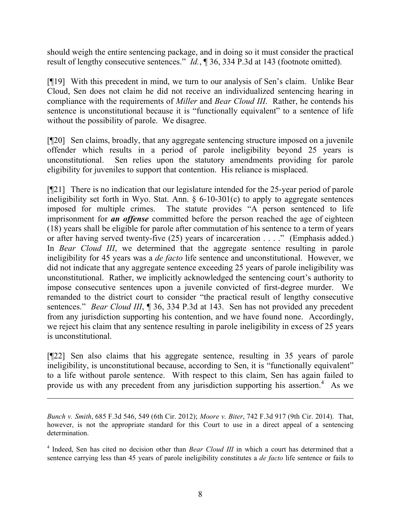should weigh the entire sentencing package, and in doing so it must consider the practical result of lengthy consecutive sentences." *Id.*, ¶ 36, 334 P.3d at 143 (footnote omitted).

[¶19] With this precedent in mind, we turn to our analysis of Sen's claim. Unlike Bear Cloud, Sen does not claim he did not receive an individualized sentencing hearing in compliance with the requirements of *Miller* and *Bear Cloud III*. Rather, he contends his sentence is unconstitutional because it is "functionally equivalent" to a sentence of life without the possibility of parole. We disagree.

[¶20] Sen claims, broadly, that any aggregate sentencing structure imposed on a juvenile offender which results in a period of parole ineligibility beyond 25 years is unconstitutional. Sen relies upon the statutory amendments providing for parole eligibility for juveniles to support that contention. His reliance is misplaced.

[¶21] There is no indication that our legislature intended for the 25-year period of parole ineligibility set forth in Wyo. Stat. Ann. § 6-10-301(c) to apply to aggregate sentences imposed for multiple crimes. The statute provides "A person sentenced to life imprisonment for *an offense* committed before the person reached the age of eighteen (18) years shall be eligible for parole after commutation of his sentence to a term of years or after having served twenty-five (25) years of incarceration . . . ." (Emphasis added.) In *Bear Cloud III*, we determined that the aggregate sentence resulting in parole ineligibility for 45 years was a *de facto* life sentence and unconstitutional. However, we did not indicate that any aggregate sentence exceeding 25 years of parole ineligibility was unconstitutional. Rather, we implicitly acknowledged the sentencing court's authority to impose consecutive sentences upon a juvenile convicted of first-degree murder. We remanded to the district court to consider "the practical result of lengthy consecutive sentences." *Bear Cloud III*, ¶ 36, 334 P.3d at 143. Sen has not provided any precedent from any jurisdiction supporting his contention, and we have found none. Accordingly, we reject his claim that any sentence resulting in parole ineligibility in excess of 25 years is unconstitutional.

[¶22] Sen also claims that his aggregate sentence, resulting in 35 years of parole ineligibility, is unconstitutional because, according to Sen, it is "functionally equivalent" to a life without parole sentence. With respect to this claim, Sen has again failed to provide us with any precedent from any jurisdiction supporting his assertion.<sup>4</sup> As we

*Bunch v. Smith*, 685 F.3d 546, 549 (6th Cir. 2012); *Moore v. Biter*, 742 F.3d 917 (9th Cir. 2014). That, however, is not the appropriate standard for this Court to use in a direct appeal of a sentencing determination.

<sup>&</sup>lt;sup>4</sup> Indeed, Sen has cited no decision other than *Bear Cloud III* in which a court has determined that a sentence carrying less than 45 years of parole ineligibility constitutes a *de facto* life sentence or fails to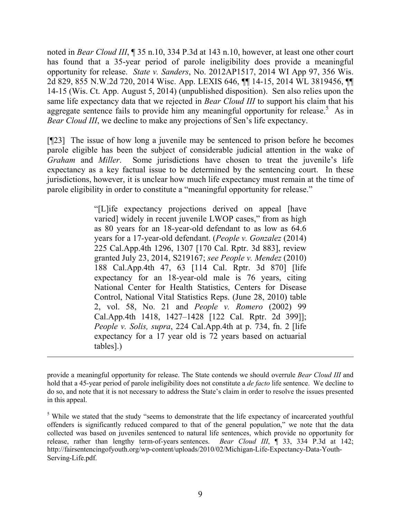noted in *Bear Cloud III*, ¶ 35 n.10, 334 P.3d at 143 n.10, however, at least one other court has found that a 35-year period of parole ineligibility does provide a meaningful opportunity for release. *State v. Sanders*, No. 2012AP1517, 2014 WI App 97, 356 Wis. 2d 829, 855 N.W.2d 720, 2014 Wisc. App. LEXIS 646, ¶¶ 14-15, 2014 WL 3819456, ¶¶ 14-15 (Wis. Ct. App. August 5, 2014) (unpublished disposition). Sen also relies upon the same life expectancy data that we rejected in *Bear Cloud III* to support his claim that his aggregate sentence fails to provide him any meaningful opportunity for release.<sup>5</sup> As in *Bear Cloud III*, we decline to make any projections of Sen's life expectancy.

[¶23] The issue of how long a juvenile may be sentenced to prison before he becomes parole eligible has been the subject of considerable judicial attention in the wake of *Graham* and *Miller*. Some jurisdictions have chosen to treat the juvenile's life expectancy as a key factual issue to be determined by the sentencing court. In these jurisdictions, however, it is unclear how much life expectancy must remain at the time of parole eligibility in order to constitute a "meaningful opportunity for release."

> "[L]ife expectancy projections derived on appeal [have varied] widely in recent juvenile LWOP cases," from as high as 80 years for an 18-year-old defendant to as low as 64.6 years for a 17-year-old defendant. (*People v. Gonzalez* (2014) 225 Cal.App.4th 1296, 1307 [170 Cal. Rptr. 3d 883], review granted July 23, 2014, S219167; *see People v. Mendez* (2010) 188 Cal.App.4th 47, 63 [114 Cal. Rptr. 3d 870] [life expectancy for an 18-year-old male is 76 years, citing National Center for Health Statistics, Centers for Disease Control, National Vital Statistics Reps. (June 28, 2010) table 2, vol. 58, No. 21 and *People v. Romero* (2002) 99 Cal.App.4th 1418, 1427–1428 [122 Cal. Rptr. 2d 399]]; *People v. Solis, supra*, 224 Cal.App.4th at p. 734, fn. 2 [life expectancy for a 17 year old is 72 years based on actuarial tables].)

provide a meaningful opportunity for release. The State contends we should overrule *Bear Cloud III* and hold that a 45-year period of parole ineligibility does not constitute a *de facto* life sentence. We decline to do so, and note that it is not necessary to address the State's claim in order to resolve the issues presented in this appeal.

<sup>&</sup>lt;sup>5</sup> While we stated that the study "seems to demonstrate that the life expectancy of incarcerated youthful offenders is significantly reduced compared to that of the general population," we note that the data collected was based on juveniles sentenced to natural life sentences, which provide no opportunity for release, rather than lengthy term-of-years sentences. *Bear Cloud III*, ¶ 33, 334 P.3d at 142; http://fairsentencingofyouth.org/wp-content/uploads/2010/02/Michigan-Life-Expectancy-Data-Youth-Serving-Life.pdf.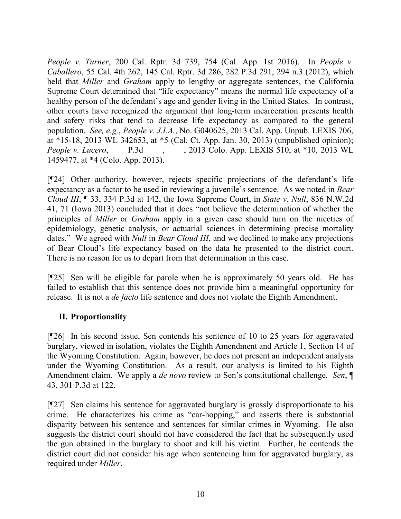*People v. Turner*, 200 Cal. Rptr. 3d 739, 754 (Cal. App. 1st 2016). In *People v. Caballero*, 55 Cal. 4th 262, 145 Cal. Rptr. 3d 286, 282 P.3d 291, 294 n.3 (2012), which held that *Miller* and *Graham* apply to lengthy or aggregate sentences, the California Supreme Court determined that "life expectancy" means the normal life expectancy of a healthy person of the defendant's age and gender living in the United States. In contrast, other courts have recognized the argument that long-term incarceration presents health and safety risks that tend to decrease life expectancy as compared to the general population. *See, e.g.*, *People v. J.I.A.*, No. G040625, 2013 Cal. App. Unpub. LEXIS 706, at \*15-18, 2013 WL 342653, at \*5 (Cal. Ct. App. Jan. 30, 2013) (unpublished opinion); *People v. Lucero*, P.3d , 2013 Colo. App. LEXIS 510, at \*10, 2013 WL 1459477, at \*4 (Colo. App. 2013).

[¶24] Other authority, however, rejects specific projections of the defendant's life expectancy as a factor to be used in reviewing a juvenile's sentence. As we noted in *Bear Cloud III*, ¶ 33, 334 P.3d at 142, the Iowa Supreme Court, in *State v. Null*, 836 N.W.2d 41, 71 (Iowa 2013) concluded that it does "not believe the determination of whether the principles of *Miller* or *Graham* apply in a given case should turn on the niceties of epidemiology, genetic analysis, or actuarial sciences in determining precise mortality dates." We agreed with *Null* in *Bear Cloud III*, and we declined to make any projections of Bear Cloud's life expectancy based on the data he presented to the district court. There is no reason for us to depart from that determination in this case.

[¶25] Sen will be eligible for parole when he is approximately 50 years old. He has failed to establish that this sentence does not provide him a meaningful opportunity for release. It is not a *de facto* life sentence and does not violate the Eighth Amendment.

## **II. Proportionality**

[¶26] In his second issue, Sen contends his sentence of 10 to 25 years for aggravated burglary, viewed in isolation, violates the Eighth Amendment and Article 1, Section 14 of the Wyoming Constitution. Again, however, he does not present an independent analysis under the Wyoming Constitution. As a result, our analysis is limited to his Eighth Amendment claim. We apply a *de novo* review to Sen's constitutional challenge*. Sen*, ¶ 43, 301 P.3d at 122.

[¶27] Sen claims his sentence for aggravated burglary is grossly disproportionate to his crime. He characterizes his crime as "car-hopping," and asserts there is substantial disparity between his sentence and sentences for similar crimes in Wyoming. He also suggests the district court should not have considered the fact that he subsequently used the gun obtained in the burglary to shoot and kill his victim. Further, he contends the district court did not consider his age when sentencing him for aggravated burglary, as required under *Miller*.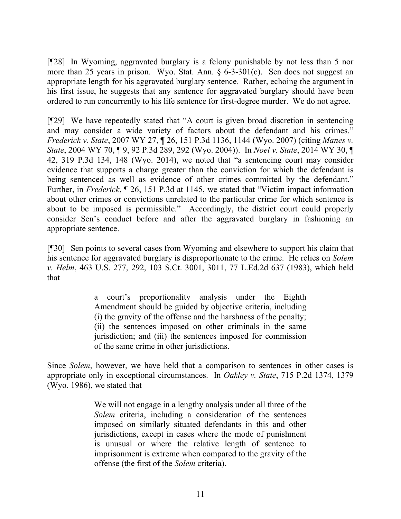[¶28] In Wyoming, aggravated burglary is a felony punishable by not less than 5 nor more than 25 years in prison. Wyo. Stat. Ann. § 6-3-301(c). Sen does not suggest an appropriate length for his aggravated burglary sentence. Rather, echoing the argument in his first issue, he suggests that any sentence for aggravated burglary should have been ordered to run concurrently to his life sentence for first-degree murder. We do not agree.

[¶29] We have repeatedly stated that "A court is given broad discretion in sentencing and may consider a wide variety of factors about the defendant and his crimes." *Frederick v. State*, 2007 WY 27, ¶ 26, 151 P.3d 1136, 1144 (Wyo. 2007) (citing *Manes v. State*, 2004 WY 70, ¶ 9, 92 P.3d 289, 292 (Wyo. 2004)). In *Noel v. State*, 2014 WY 30, ¶ 42, 319 P.3d 134, 148 (Wyo. 2014), we noted that "a sentencing court may consider evidence that supports a charge greater than the conviction for which the defendant is being sentenced as well as evidence of other crimes committed by the defendant." Further, in *Frederick*, ¶ 26, 151 P.3d at 1145, we stated that "Victim impact information about other crimes or convictions unrelated to the particular crime for which sentence is about to be imposed is permissible." Accordingly, the district court could properly consider Sen's conduct before and after the aggravated burglary in fashioning an appropriate sentence.

[¶30] Sen points to several cases from Wyoming and elsewhere to support his claim that his sentence for aggravated burglary is disproportionate to the crime. He relies on *Solem v. Helm*, 463 U.S. 277, 292, 103 S.Ct. 3001, 3011, 77 L.Ed.2d 637 (1983), which held that

> a court's proportionality analysis under the Eighth Amendment should be guided by objective criteria, including (i) the gravity of the offense and the harshness of the penalty; (ii) the sentences imposed on other criminals in the same jurisdiction; and (iii) the sentences imposed for commission of the same crime in other jurisdictions.

Since *Solem*, however, we have held that a comparison to sentences in other cases is appropriate only in exceptional circumstances. In *Oakley v. State*, 715 P.2d 1374, 1379 (Wyo. 1986), we stated that

> We will not engage in a lengthy analysis under all three of the *Solem* criteria, including a consideration of the sentences imposed on similarly situated defendants in this and other jurisdictions, except in cases where the mode of punishment is unusual or where the relative length of sentence to imprisonment is extreme when compared to the gravity of the offense (the first of the *Solem* criteria).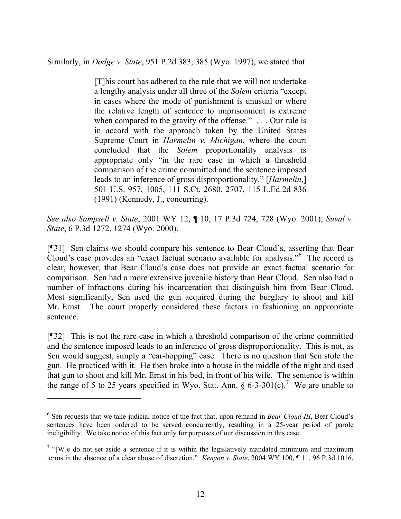Similarly, in *Dodge v. State*, 951 P.2d 383, 385 (Wyo. 1997), we stated that

[T]his court has adhered to the rule that we will not undertake a lengthy analysis under all three of the *Solem* criteria "except in cases where the mode of punishment is unusual or where the relative length of sentence to imprisonment is extreme when compared to the gravity of the offense." . . . Our rule is in accord with the approach taken by the United States Supreme Court in *Harmelin v. Michigan*, where the court concluded that the *Solem* proportionality analysis is appropriate only "in the rare case in which a threshold comparison of the crime committed and the sentence imposed leads to an inference of gross disproportionality." [*Harmelin*,] 501 U.S. 957, 1005, 111 S.Ct. 2680, 2707, 115 L.Ed.2d 836 (1991) (Kennedy, J., concurring).

*See also Sampsell v. State*, 2001 WY 12, ¶ 10, 17 P.3d 724, 728 (Wyo. 2001); *Suval v. State*, 6 P.3d 1272, 1274 (Wyo. 2000).

[¶31] Sen claims we should compare his sentence to Bear Cloud's, asserting that Bear Cloud's case provides an "exact factual scenario available for analysis."<sup>6</sup> The record is clear, however, that Bear Cloud's case does not provide an exact factual scenario for comparison. Sen had a more extensive juvenile history than Bear Cloud. Sen also had a number of infractions during his incarceration that distinguish him from Bear Cloud. Most significantly, Sen used the gun acquired during the burglary to shoot and kill Mr. Ernst. The court properly considered these factors in fashioning an appropriate sentence.

[¶32] This is not the rare case in which a threshold comparison of the crime committed and the sentence imposed leads to an inference of gross disproportionality. This is not, as Sen would suggest, simply a "car-hopping" case. There is no question that Sen stole the gun. He practiced with it. He then broke into a house in the middle of the night and used that gun to shoot and kill Mr. Ernst in his bed, in front of his wife. The sentence is within the range of 5 to 25 years specified in Wyo. Stat. Ann.  $\S 6$ -3-301(c).<sup>7</sup> We are unable to

<sup>&</sup>lt;sup>6</sup> Sen requests that we take judicial notice of the fact that, upon remand in *Bear Cloud III*, Bear Cloud's sentences have been ordered to be served concurrently, resulting in a 25-year period of parole ineligibility. We take notice of this fact only for purposes of our discussion in this case.

<sup>&</sup>lt;sup>7</sup> "[W]e do not set aside a sentence if it is within the legislatively mandated minimum and maximum terms in the absence of a clear abuse of discretion." *Kenyon v. State*, 2004 WY 100, ¶ 11, 96 P.3d 1016,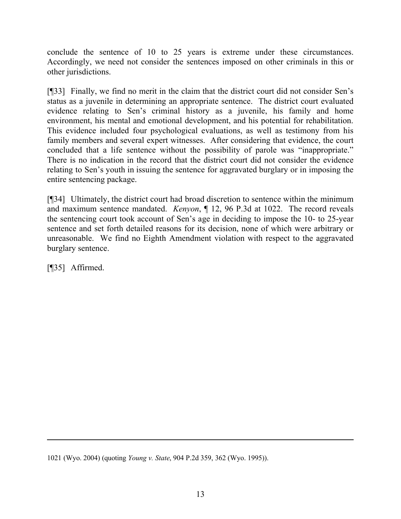conclude the sentence of 10 to 25 years is extreme under these circumstances. Accordingly, we need not consider the sentences imposed on other criminals in this or other jurisdictions.

[¶33] Finally, we find no merit in the claim that the district court did not consider Sen's status as a juvenile in determining an appropriate sentence. The district court evaluated evidence relating to Sen's criminal history as a juvenile, his family and home environment, his mental and emotional development, and his potential for rehabilitation. This evidence included four psychological evaluations, as well as testimony from his family members and several expert witnesses. After considering that evidence, the court concluded that a life sentence without the possibility of parole was "inappropriate." There is no indication in the record that the district court did not consider the evidence relating to Sen's youth in issuing the sentence for aggravated burglary or in imposing the entire sentencing package.

[¶34] Ultimately, the district court had broad discretion to sentence within the minimum and maximum sentence mandated. *Kenyon*, ¶ 12, 96 P.3d at 1022. The record reveals the sentencing court took account of Sen's age in deciding to impose the 10- to 25-year sentence and set forth detailed reasons for its decision, none of which were arbitrary or unreasonable. We find no Eighth Amendment violation with respect to the aggravated burglary sentence.

[¶35] Affirmed.

 $\overline{a}$ 

1021 (Wyo. 2004) (quoting *Young v. State*, 904 P.2d 359, 362 (Wyo. 1995)).